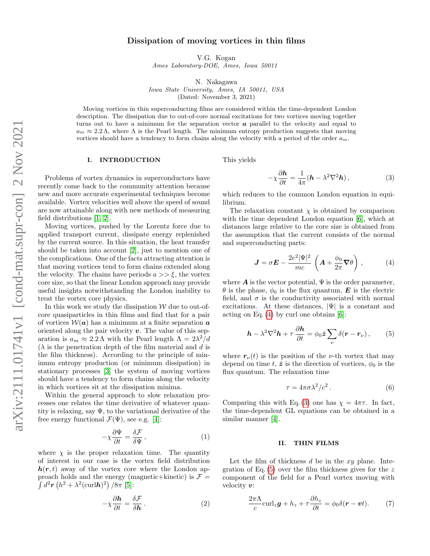# Dissipation of moving vortices in thin films

V.G. Kogan

Ames Laboratory-DOE, Ames, Iowa 50011

N. Nakagawa

Iowa State University, Ames, IA 50011, USA (Dated: November 3, 2021)

Moving vortices in thin superconducting films are considered within the time-dependent London description. The dissipation due to out-of-core normal excitations for two vortices moving together turns out to have a minimum for the separation vector  $\boldsymbol{a}$  parallel to the velocity and equal to  $a_m \approx 2.2 \text{ \AA}$ , where  $\Lambda$  is the Pearl length. The minimum entropy production suggests that moving vortices should have a tendency to form chains along the velocity with a period of the order  $a_m$ .

### I. INTRODUCTION

Problems of vortex dynamics in superconductors have recently come back to the community attention because new and more accurate experimental techniques become available. Vortex velocities well above the speed of sound are now attainable along with new methods of measuring field distributions [\[1,](#page-3-0) [2\]](#page-3-1).

Moving vortices, pushed by the Lorentz force due to applied transport current, dissipate energy replenished by the current source. In this situation, the heat transfer should be taken into account [\[2\]](#page-3-1), just to mention one of the complications. One of the facts attracting attention is that moving vortices tend to form chains extended along the velocity. The chains have periods  $a \gg \xi$ , the vortex core size, so that the linear London approach may provide useful insights notwithstanding the London inability to treat the vortex core physics.

In this work we study the dissipation  $W$  due to out-ofcore quasiparticles in thin films and find that for a pair of vortices  $W(a)$  has a minimum at a finite separation a oriented along the pair velocity  $v$ . The value of this separation is  $a_m \approx 2.2 \,\mathrm{\Lambda}$  with the Pearl length  $\Lambda = 2\lambda^2/d$  $(\lambda)$  is the penetration depth of the film material and d is the film thickness). According to the principle of minimum entropy production (or minimum dissipation) in stationary processes [\[3\]](#page-3-2) the system of moving vortices should have a tendency to form chains along the velocity in which vortices sit at the dissipation minima.

Within the general approach to slow relaxation processes one relates the time derivative of whatever quantity is relaxing, say  $\Psi$ , to the variational derivative of the free energy functional  $\mathcal{F}(\Psi)$ , see e.g. [\[4\]](#page-3-3):

$$
-\chi \frac{\partial \Psi}{\partial t} = \frac{\delta \mathcal{F}}{\delta \Psi},\qquad(1)
$$

where  $\chi$  is the proper relaxation time. The quantity of interest in our case is the vortex field distribution  $h(r, t)$  away of the vortex core where the London approach holds and the energy (magnetic+kinetic) is  $\mathcal{F} =$  $\int d^2 r \left( h^2 + \lambda^2 (\text{curl} h)^2 \right) / 8 \pi$  [\[5\]](#page-3-4):

$$
-\chi \frac{\partial \mathbf{h}}{\partial t} = \frac{\delta \mathcal{F}}{\delta \mathbf{h}}.
$$
 (2)

This yields

<span id="page-0-1"></span>
$$
-\chi \frac{\partial \mathbf{h}}{\partial t} = \frac{1}{4\pi} (\mathbf{h} - \lambda^2 \nabla^2 \mathbf{h}), \qquad (3)
$$

which reduces to the common London equation in equilibrium.

The relaxation constant  $\chi$  is obtained by comparison with the time dependent London equation [\[6\]](#page-3-5), which at distances large relative to the core size is obtained from the assumption that the current consists of the normal and superconducting parts:

<span id="page-0-0"></span>
$$
\mathbf{J} = \sigma \mathbf{E} - \frac{2e^2 |\Psi|^2}{mc} \left( \mathbf{A} + \frac{\phi_0}{2\pi} \mathbf{\nabla} \theta \right), \tag{4}
$$

where  $\boldsymbol{A}$  is the vector potential,  $\Psi$  is the order parameter,  $\theta$  is the phase,  $\phi_0$  is the flux quantum, **E** is the electric field, and  $\sigma$  is the conductivity associated with normal excitations. At these distances,  $|\Psi|$  is a constant and acting on Eq.  $(4)$  by curl one obtains  $[6]$ :

<span id="page-0-2"></span>
$$
\boldsymbol{h} - \lambda^2 \nabla^2 \boldsymbol{h} + \tau \frac{\partial \boldsymbol{h}}{\partial t} = \phi_0 \hat{\boldsymbol{z}} \sum_{\nu} \delta(\boldsymbol{r} - \boldsymbol{r}_{\nu}), \qquad (5)
$$

where  $r_{\nu}(t)$  is the position of the *ν*-th vortex that may depend on time t,  $\hat{z}$  is the direction of vortices,  $\phi_0$  is the flux quantum. The relaxation time

$$
\tau = 4\pi\sigma\lambda^2/c^2. \tag{6}
$$

Comparing this with Eq. [\(3\)](#page-0-1) one has  $\chi = 4\pi\tau$ . In fact, the time-dependent GL equations can be obtained in a similar manner [\[4\]](#page-3-3).

#### II. THIN FILMS

Let the film of thickness  $d$  be in the  $xy$  plane. Integration of Eq.  $(5)$  over the film thickness gives for the z component of the field for a Pearl vortex moving with velocity v:

<span id="page-0-3"></span>
$$
\frac{2\pi\Lambda}{c}\text{curl}_z\boldsymbol{g} + h_z + \tau\frac{\partial h_z}{\partial t} = \phi_0\delta(\boldsymbol{r} - \boldsymbol{v}t). \tag{7}
$$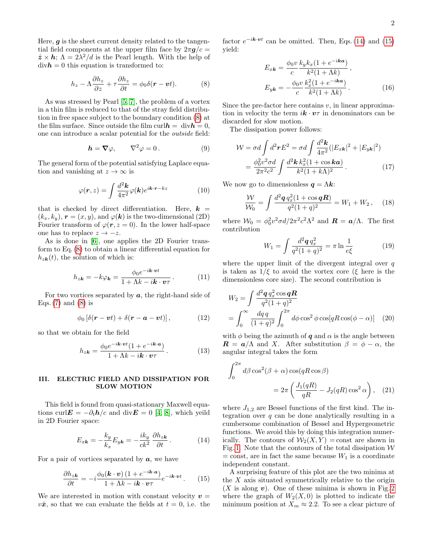Here,  $g$  is the sheet current density related to the tangential field components at the upper film face by  $2\pi g/c =$  $\hat{z} \times h$ ;  $\Lambda = 2\lambda^2/d$  is the Pearl length. With the help of  $divh = 0$  this equation is transformed to:

<span id="page-1-0"></span>
$$
h_z - \Lambda \frac{\partial h_z}{\partial z} + \tau \frac{\partial h_z}{\partial t} = \phi_0 \delta(\mathbf{r} - \mathbf{v}t). \tag{8}
$$

As was stressed by Pearl [\[5,](#page-3-4) [7\]](#page-3-6), the problem of a vortex in a thin film is reduced to that of the stray field distribution in free space subject to the boundary condition [\(8\)](#page-1-0) at the film surface. Since outside the film curl $h = \text{div} h = 0$ , one can introduce a scalar potential for the outside field:

$$
\mathbf{h} = \nabla \varphi, \qquad \nabla^2 \varphi = 0. \tag{9}
$$

The general form of the potential satisfying Laplace equation and vanishing at  $z \to \infty$  is

$$
\varphi(\mathbf{r},z) = \int \frac{d^2 \mathbf{k}}{4\pi^2} \varphi(\mathbf{k}) e^{i\mathbf{k}\cdot\mathbf{r} - kz}
$$
(10)

that is checked by direct differentiation. Here,  $k =$  $(k_x, k_y)$ ,  $\mathbf{r} = (x, y)$ , and  $\varphi(\mathbf{k})$  is the two-dimensional (2D) Fourier transform of  $\varphi(\mathbf{r}, z = 0)$ . In the lower half-space one has to replace  $z \rightarrow -z$ .

As is done in [\[6\]](#page-3-5), one applies the 2D Fourier transform to Eq. [\(8\)](#page-1-0) to obtain a linear differential equation for  $h_{z\boldsymbol{k}}(t)$ , the solution of which is:

$$
h_{z\mathbf{k}} = -k\varphi_{\mathbf{k}} = \frac{\phi_0 e^{-i\mathbf{k}\cdot\mathbf{v}t}}{1 + \Lambda k - i\mathbf{k}\cdot\mathbf{v}\tau}.
$$
 (11)

For two vortices separated by  $a$ , the right-hand side of Eqs.  $(7)$  and  $(8)$  is

$$
\phi_0 \left[ \delta(\mathbf{r} - \mathbf{v}t) + \delta(\mathbf{r} - \mathbf{a} - \mathbf{v}t) \right], \tag{12}
$$

so that we obtain for the field

$$
h_{z\mathbf{k}} = \frac{\phi_0 e^{-i\mathbf{k}\cdot\mathbf{v}t}(1 + e^{-i\mathbf{k}\cdot\mathbf{a}})}{1 + \Lambda k - i\mathbf{k}\cdot\mathbf{v}\tau}.
$$
 (13)

## III. ELECTRIC FIELD AND DISSIPATION FOR SLOW MOTION

This field is found from quasi-stationary Maxwell equations curl $\mathbf{E} = -\partial_t \mathbf{h}/c$  and div $\mathbf{E} = 0$  [\[4,](#page-3-3) [8\]](#page-3-7), which yeild in 2D Fourier space:

<span id="page-1-1"></span>
$$
E_{x\mathbf{k}} = -\frac{k_y}{k_x} E_{y\mathbf{k}} = -\frac{ik_y}{ck^2} \frac{\partial h_{z\mathbf{k}}}{\partial t} . \tag{14}
$$

For a pair of vortices separated by  $a$ , we have

<span id="page-1-2"></span>
$$
\frac{\partial h_{z\mathbf{k}}}{\partial t} = -i \frac{\phi_0(\mathbf{k} \cdot \mathbf{v}) \left(1 + e^{-i\mathbf{k} \cdot \mathbf{a}}\right)}{1 + \Lambda k - i\mathbf{k} \cdot \mathbf{v} \tau} e^{-i\mathbf{k} \cdot \mathbf{v}t} \,. \tag{15}
$$

We are interested in motion with constant velocity  $v =$  $v\hat{x}$ , so that we can evaluate the fields at  $t = 0$ , i.e. the

factor  $e^{-i\mathbf{k}\cdot\mathbf{v}t}$  can be omitted. Then, Eqs. [\(14\)](#page-1-1) and [\(15\)](#page-1-2) yield:

<span id="page-1-3"></span>
$$
E_{x\mathbf{k}} = \frac{\phi_0 v}{c} \frac{k_y k_x (1 + e^{-i\mathbf{k}a})}{k^2 (1 + \Lambda k)},
$$
  
\n
$$
E_{y\mathbf{k}} = -\frac{\phi_0 v}{c} \frac{k_x^2 (1 + e^{-i\mathbf{k}a})}{k^2 (1 + \Lambda k)}.
$$
 (16)

Since the pre-factor here contains  $v$ , in linear approximation in velocity the term  $i\mathbf{k} \cdot \mathbf{v}$  in denominators can be discarded for slow motion.

The dissipation power follows:

$$
\mathcal{W} = \sigma d \int d^2 \boldsymbol{r} E^2 = \sigma d \int \frac{d^2 \boldsymbol{k}}{4\pi^2} (|E_{x\boldsymbol{k}}|^2 + |E_{y\boldsymbol{k}}|^2)
$$

$$
= \frac{\phi_0^2 v^2 \sigma d}{2\pi^2 c^2} \int \frac{d^2 \boldsymbol{k} k_x^2 (1 + \cos k \boldsymbol{a})}{k^2 (1 + k \Lambda)^2} . \tag{17}
$$

We now go to dimensionless  $q = \Lambda k$ :

$$
\frac{W}{W_0} = \int \frac{d^2 \mathbf{q} \, q_x^2 (1 + \cos \mathbf{q} \mathbf{R})}{q^2 (1 + q)^2} = W_1 + W_2 \,, \quad (18)
$$

where  $W_0 = \phi_0^2 v^2 \sigma d/2\pi^2 c^2 \Lambda^2$  and  $\mathbf{R} = \mathbf{a}/\Lambda$ . The first contribution

$$
W_1 = \int \frac{d^2 \mathbf{q} q_x^2}{q^2 (1+q)^2} = \pi \ln \frac{1}{e \xi}
$$
 (19)

where the upper limit of the divergent integral over  $q$ is taken as  $1/\xi$  to avoid the vortex core (ξ here is the dimensionless core size). The second contribution is

$$
W_2 = \int \frac{d^2 \mathbf{q} q_x^2 \cos \mathbf{q} \mathbf{R}}{q^2 (1+q)^2}
$$
  
= 
$$
\int_0^\infty \frac{dq \, q}{(1+q)^2} \int_0^{2\pi} d\phi \cos^2 \phi \cos[qR\cos(\phi-\alpha)] \quad (20)
$$

with  $\phi$  being the azimuth of  $q$  and  $\alpha$  is the angle between  $\mathbf{R} = \mathbf{a}/\Lambda$  and X. After substitution  $\beta = \phi - \alpha$ , the angular integral takes the form

$$
\int_0^{2\pi} d\beta \cos^2(\beta + \alpha) \cos(qR \cos \beta)
$$
  
=  $2\pi \left( \frac{J_1(qR)}{qR} - J_2(qR) \cos^2 \alpha \right)$ , (21)

where  $J_{1,2}$  are Bessel functions of the first kind. The integration over  $q$  can be done analytically resulting in a cumbersome combination of Bessel and Hypergeometric functions. We avoid this by doing this integration numerically. The contours of  $\mathcal{W}_2(X, Y) = \text{const}$  are shown in Fig. [1.](#page-2-0) Note that the contours of the total dissipation  $W$  $=$  const, are in fact the same because  $W_1$  is a coordinate independent constant.

A surprising feature of this plot are the two minima at the X axis situated symmetrically relative to the origin  $(X$  is along v). One of these minima is shown in Fig. [2](#page-2-1) where the graph of  $W_2(X,0)$  is plotted to indicate the minimum position at  $X_m \approx 2.2$ . To see a clear picture of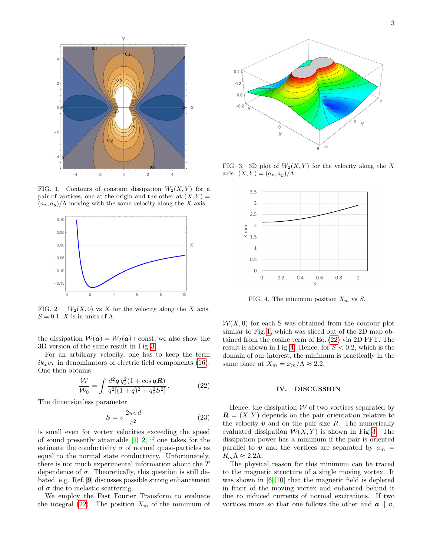

<span id="page-2-0"></span>FIG. 1. Contours of constant dissipation  $W_2(X, Y)$  for a pair of vortices, one at the origin and the other at  $(X, Y) =$  $(a_x, a_y)/\Lambda$  moving with the same velocity along the X axis.



<span id="page-2-1"></span>FIG. 2.  $W_2(X,0)$  vs X for the velocity along the X axis.  $S = 0.1$ , X is in units of  $\Lambda$ .

the dissipation  $W(a) = W_2(a) + \text{const}$ , we also show the 3D version of the same result in Fig. [3.](#page-2-2)

For an arbitrary velocity, one has to keep the term  $ik_xv\tau$  in denominators of electric field components [\(16\)](#page-1-3). One then obtains

<span id="page-2-3"></span>
$$
\frac{\mathcal{W}}{\mathcal{W}_0} = \int \frac{d^2 \mathbf{q} \, q_x^2 (1 + \cos \mathbf{q} \mathbf{R})}{q^2 [(1+q)^2 + q_x^2 S^2]} \,. \tag{22}
$$

The dimensionless parameter

<span id="page-2-5"></span>
$$
S = v \frac{2\pi\sigma d}{c^2} \tag{23}
$$

is small even for vortex velocities exceeding the speed of sound presently attainable [\[1,](#page-3-0) [2\]](#page-3-1) if one takes for the estimate the conductivity  $\sigma$  of normal quasi-particles as equal to the normal state conductivity. Unfortunately, there is not much experimental information about the T dependence of  $\sigma$ . Theoretically, this question is still debated, e.g. Ref. [\[9\]](#page-3-8) discusses possible strong enhancement of  $\sigma$  due to inelastic scattering.

We employ the Fast Fourier Transform to evaluate the integral [\(22\)](#page-2-3). The position  $X_m$  of the minimum of



FIG. 3. 3D plot of  $W_2(X, Y)$  for the velocity along the X axis.  $(X, Y) = (a_x, a_y) / \Lambda$ .

<span id="page-2-2"></span>

<span id="page-2-4"></span>FIG. 4. The minimum position  $X_m$  vs  $S$ .

 $W(X, 0)$  for each S was obtained from the contour plot similar to Fig. [1,](#page-2-0) which was sliced out of the 2D map obtained from the cosine term of Eq. [\(22\)](#page-2-3) via 2D FFT. The result is shown in Fig. [4.](#page-2-4) Hence, for  $S < 0.2$ , which is the domain of our interest, the minimum is practically in the same place at  $X_m = x_m/\Lambda \approx 2.2$ .

#### IV. DISCUSSION

Hence, the dissipation  $W$  of two vortices separated by  $\mathbf{R} = (X, Y)$  depends on the pair orientation relative to the velocity  $\hat{v}$  and on the pair size R. The numerically evaluated dissipation  $W(X, Y)$  is shown in Fig. [3.](#page-2-2) The dissipation power has a minimum if the pair is oriented parallel to  $v$  and the vortices are separated by  $a_m =$  $R_m \Lambda \approx 2.2 \Lambda$ .

The physical reason for this minimum can be traced to the magnetic structure of a single moving vortex. It was shown in [\[6,](#page-3-5) [10\]](#page-3-9) that the magnetic field is depleted in front of the moving vortex and enhanced behind it due to induced currents of normal excitations. If two vortices move so that one follows the other and  $\boldsymbol{a} \parallel \boldsymbol{v}$ ,